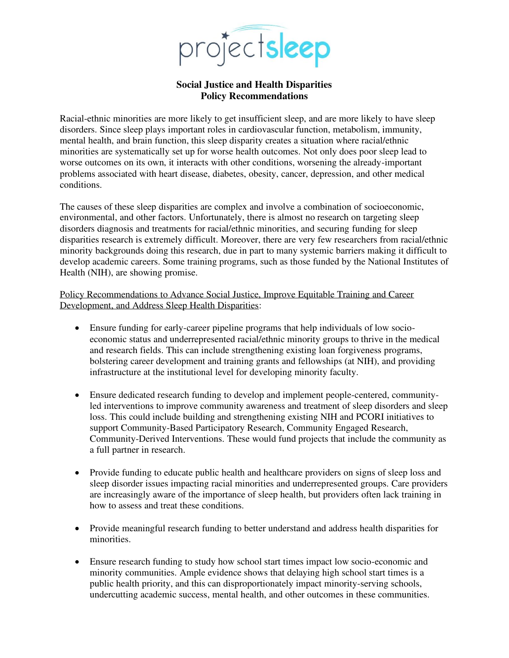

## **Social Justice and Health Disparities Policy Recommendations**

Racial-ethnic minorities are more likely to get insufficient sleep, and are more likely to have sleep disorders. Since sleep plays important roles in cardiovascular function, metabolism, immunity, mental health, and brain function, this sleep disparity creates a situation where racial/ethnic minorities are systematically set up for worse health outcomes. Not only does poor sleep lead to worse outcomes on its own, it interacts with other conditions, worsening the already-important problems associated with heart disease, diabetes, obesity, cancer, depression, and other medical conditions.

The causes of these sleep disparities are complex and involve a combination of socioeconomic, environmental, and other factors. Unfortunately, there is almost no research on targeting sleep disorders diagnosis and treatments for racial/ethnic minorities, and securing funding for sleep disparities research is extremely difficult. Moreover, there are very few researchers from racial/ethnic minority backgrounds doing this research, due in part to many systemic barriers making it difficult to develop academic careers. Some training programs, such as those funded by the National Institutes of Health (NIH), are showing promise.

Policy Recommendations to Advance Social Justice, Improve Equitable Training and Career Development, and Address Sleep Health Disparities:

- Ensure funding for early-career pipeline programs that help individuals of low socioeconomic status and underrepresented racial/ethnic minority groups to thrive in the medical and research fields. This can include strengthening existing loan forgiveness programs, bolstering career development and training grants and fellowships (at NIH), and providing infrastructure at the institutional level for developing minority faculty.
- Ensure dedicated research funding to develop and implement people-centered, communityled interventions to improve community awareness and treatment of sleep disorders and sleep loss. This could include building and strengthening existing NIH and PCORI initiatives to support Community-Based Participatory Research, Community Engaged Research, Community-Derived Interventions. These would fund projects that include the community as a full partner in research.
- Provide funding to educate public health and healthcare providers on signs of sleep loss and sleep disorder issues impacting racial minorities and underrepresented groups. Care providers are increasingly aware of the importance of sleep health, but providers often lack training in how to assess and treat these conditions.
- Provide meaningful research funding to better understand and address health disparities for minorities.
- Ensure research funding to study how school start times impact low socio-economic and minority communities. Ample evidence shows that delaying high school start times is a public health priority, and this can disproportionately impact minority-serving schools, undercutting academic success, mental health, and other outcomes in these communities.